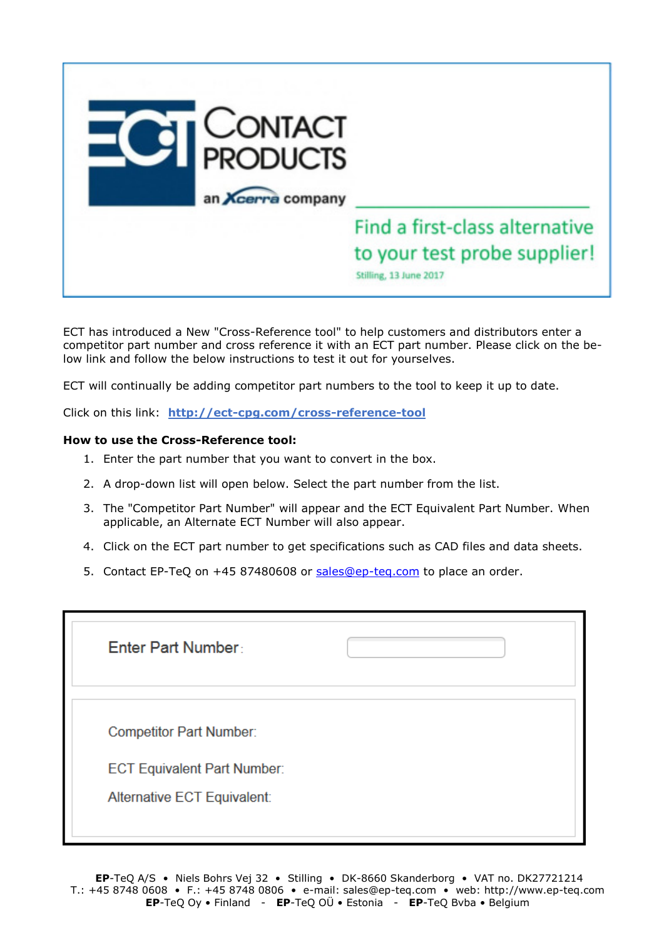

ECT has introduced a New "Cross-Reference tool" to help customers and distributors enter a competitor part number and cross reference it with an ECT part number. Please click on the below link and follow the below instructions to test it out for yourselves.

ECT will continually be adding competitor part numbers to the tool to keep it up to date.

Click on this link: **<http://ect-cpg.com/cross-reference-tool>**

## **How to use the Cross-Reference tool:**

- 1. Enter the part number that you want to convert in the box.
- 2. A drop-down list will open below. Select the part number from the list.
- 3. The "Competitor Part Number" will appear and the ECT Equivalent Part Number. When applicable, an Alternate ECT Number will also appear.
- 4. Click on the ECT part number to get specifications such as CAD files and data sheets.
- 5. Contact EP-TeQ on +45 87480608 or [sales@ep-teq.com](mailto:sales@ep-teq.com) to place an order.

| <b>Enter Part Number:</b>                                                                           |  |
|-----------------------------------------------------------------------------------------------------|--|
| <b>Competitor Part Number:</b><br><b>ECT Equivalent Part Number:</b><br>Alternative ECT Equivalent: |  |